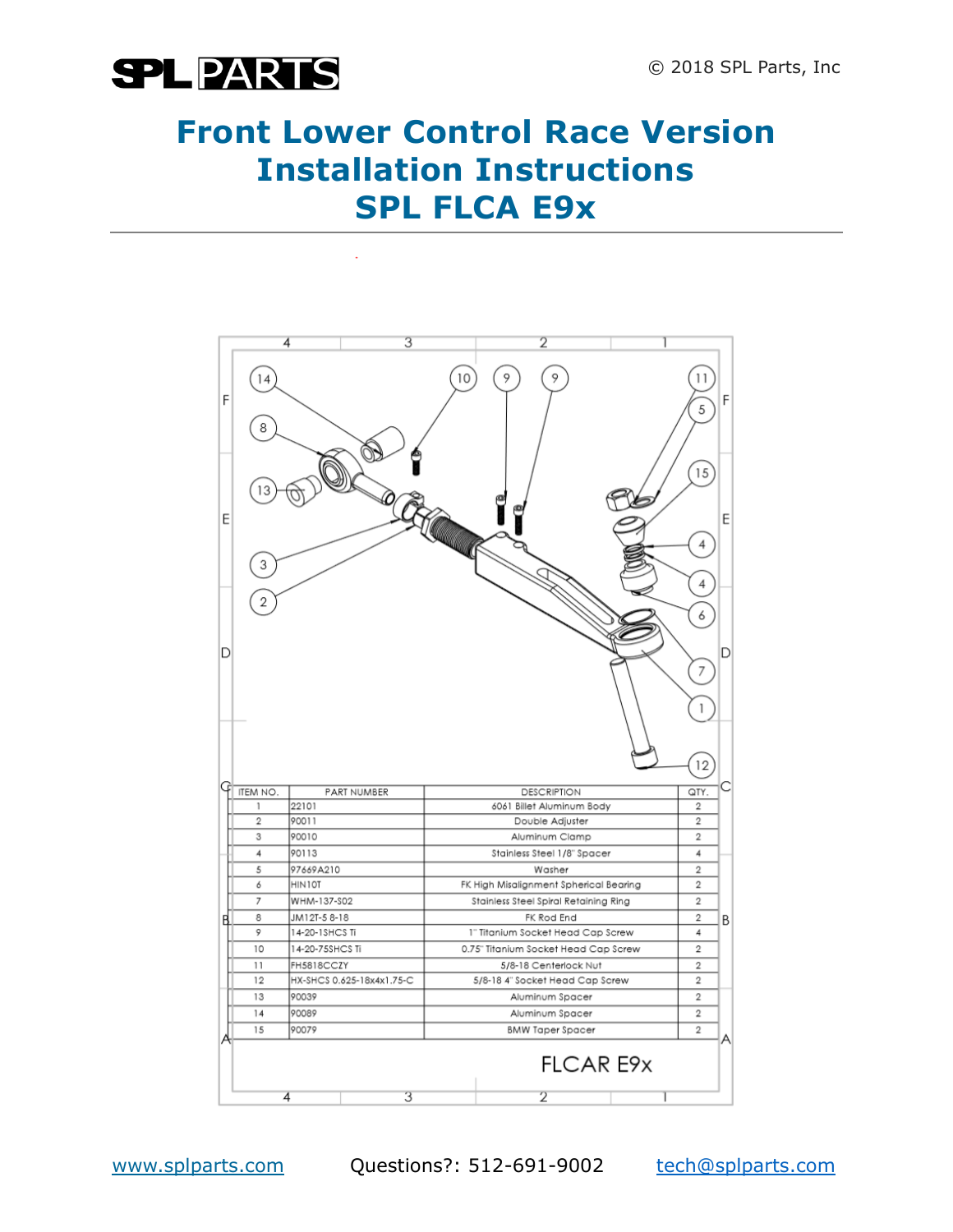

### **Front Lower Control Race Version Installation Instructions SPL FLCA E9x**

|   | 4                               |                         | 3 |                                        |                 | 2 |  |                               |                                                              |
|---|---------------------------------|-------------------------|---|----------------------------------------|-----------------|---|--|-------------------------------|--------------------------------------------------------------|
| F | 14                              |                         |   | 10                                     | 9               | 9 |  | 11<br>5                       | F                                                            |
|   | 8                               |                         |   |                                        |                 |   |  | 15                            |                                                              |
| Ε |                                 |                         |   | <b>All Contracts</b>                   |                 |   |  |                               | E                                                            |
|   | 3<br>2                          |                         |   |                                        |                 |   |  | 4<br>4                        |                                                              |
| D |                                 |                         |   |                                        |                 |   |  | 6<br>$\overline{\phantom{a}}$ | D                                                            |
|   |                                 |                         |   |                                        |                 |   |  | 1                             |                                                              |
|   |                                 |                         |   |                                        |                 |   |  | 12                            |                                                              |
| Ġ | ITEM NO.                        | PART NUMBER             |   | <b>DESCRIPTION</b>                     |                 |   |  | QTY.                          |                                                              |
|   | 1                               | 22101                   |   | 6061 Billet Aluminum Body              |                 |   |  | 2                             |                                                              |
|   |                                 | $\overline{2}$<br>90011 |   |                                        | Double Adjuster |   |  |                               |                                                              |
|   |                                 | 3<br>90010              |   |                                        | Aluminum Clamp  |   |  |                               | $\overline{2}$                                               |
|   | 4                               | 90113                   |   | Stainless Steel 1/8" Spacer            |                 |   |  | 4                             |                                                              |
|   | 5                               | 97669A210               |   | Washer                                 |                 |   |  | 2                             | $\overline{2}$                                               |
|   | 6                               | HIN10T                  |   | FK High Misalignment Spherical Bearing |                 |   |  |                               |                                                              |
|   | 7                               | WHM-137-S02             |   | Stainless Steel Spiral Retaining Ring  |                 |   |  | 2                             |                                                              |
| B | 8                               | JM12T-5 8-18            |   | FK Rod End                             |                 |   |  |                               | $\overline{2}$<br>B<br>4<br>$\overline{2}$<br>$\overline{2}$ |
|   | 9                               | 14-20-1SHCS Ti          |   | 1" Titanium Socket Head Cap Screw      |                 |   |  |                               |                                                              |
|   | 10                              | 14-20-75SHCS Ti         |   | 0.75" Titanium Socket Head Cap Screw   |                 |   |  |                               |                                                              |
|   | 11                              | FH5818CCZY              |   | 5/8-18 Centerlock Nut                  |                 |   |  |                               |                                                              |
|   | HX-SHCS 0.625-18x4x1.75-C<br>12 |                         |   | 5/8-18 4" Socket Head Cap Screw        |                 |   |  | $\overline{\mathbf{2}}$       |                                                              |
|   | 13                              | 90039                   |   | Aluminum Spacer                        |                 |   |  | 2                             | 2                                                            |
|   | 14                              | 90089                   |   | Aluminum Spacer                        |                 |   |  |                               |                                                              |
|   | 15                              | 90079                   |   | <b>BMW Taper Spacer</b>                |                 |   |  | $\overline{2}$                |                                                              |
|   | <b>FLCAR E9x</b><br>3<br>2<br>4 |                         |   |                                        |                 |   |  |                               |                                                              |
|   |                                 |                         |   |                                        |                 |   |  |                               |                                                              |

www.splparts.com Questions?: 512-691-9002 [tech@splparts.com](mailto:tech@splparts.com)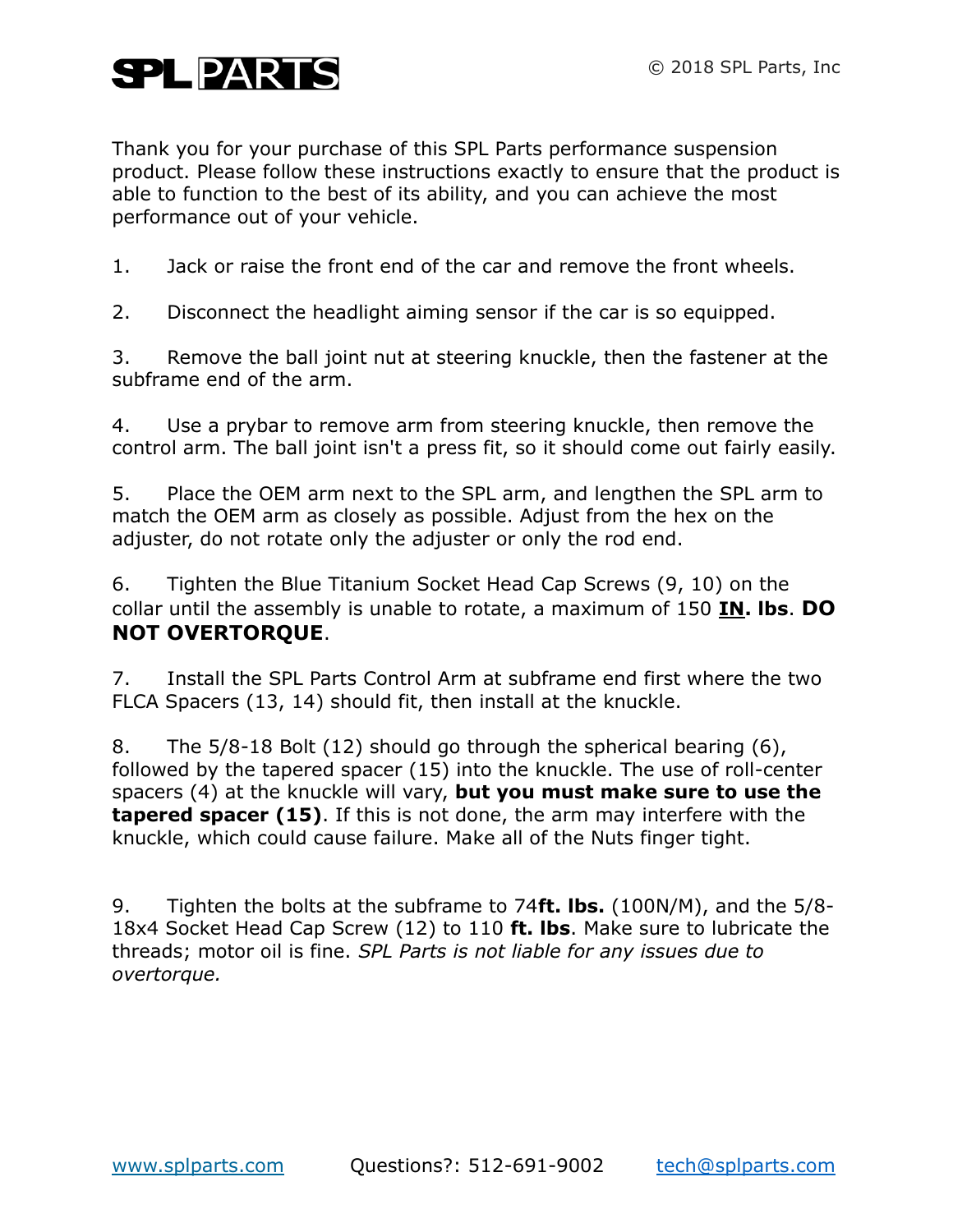## **SPLPARTS**

Thank you for your purchase of this SPL Parts performance suspension product. Please follow these instructions exactly to ensure that the product is able to function to the best of its ability, and you can achieve the most performance out of your vehicle.

1. Jack or raise the front end of the car and remove the front wheels.

2. Disconnect the headlight aiming sensor if the car is so equipped.

3. Remove the ball joint nut at steering knuckle, then the fastener at the subframe end of the arm.

4. Use a prybar to remove arm from steering knuckle, then remove the control arm. The ball joint isn't a press fit, so it should come out fairly easily.

5. Place the OEM arm next to the SPL arm, and lengthen the SPL arm to match the OEM arm as closely as possible. Adjust from the hex on the adjuster, do not rotate only the adjuster or only the rod end.

6. Tighten the Blue Titanium Socket Head Cap Screws (9, 10) on the collar until the assembly is unable to rotate, a maximum of 150 **IN. lbs**. **DO NOT OVERTORQUE**.

7. Install the SPL Parts Control Arm at subframe end first where the two FLCA Spacers (13, 14) should fit, then install at the knuckle.

8. The 5/8-18 Bolt (12) should go through the spherical bearing (6), followed by the tapered spacer (15) into the knuckle. The use of roll-center spacers (4) at the knuckle will vary, **but you must make sure to use the tapered spacer (15)**. If this is not done, the arm may interfere with the knuckle, which could cause failure. Make all of the Nuts finger tight.

9. Tighten the bolts at the subframe to 74**ft. lbs.** (100N/M), and the 5/8- 18x4 Socket Head Cap Screw (12) to 110 **ft. lbs**. Make sure to lubricate the threads; motor oil is fine. *SPL Parts is not liable for any issues due to overtorque.*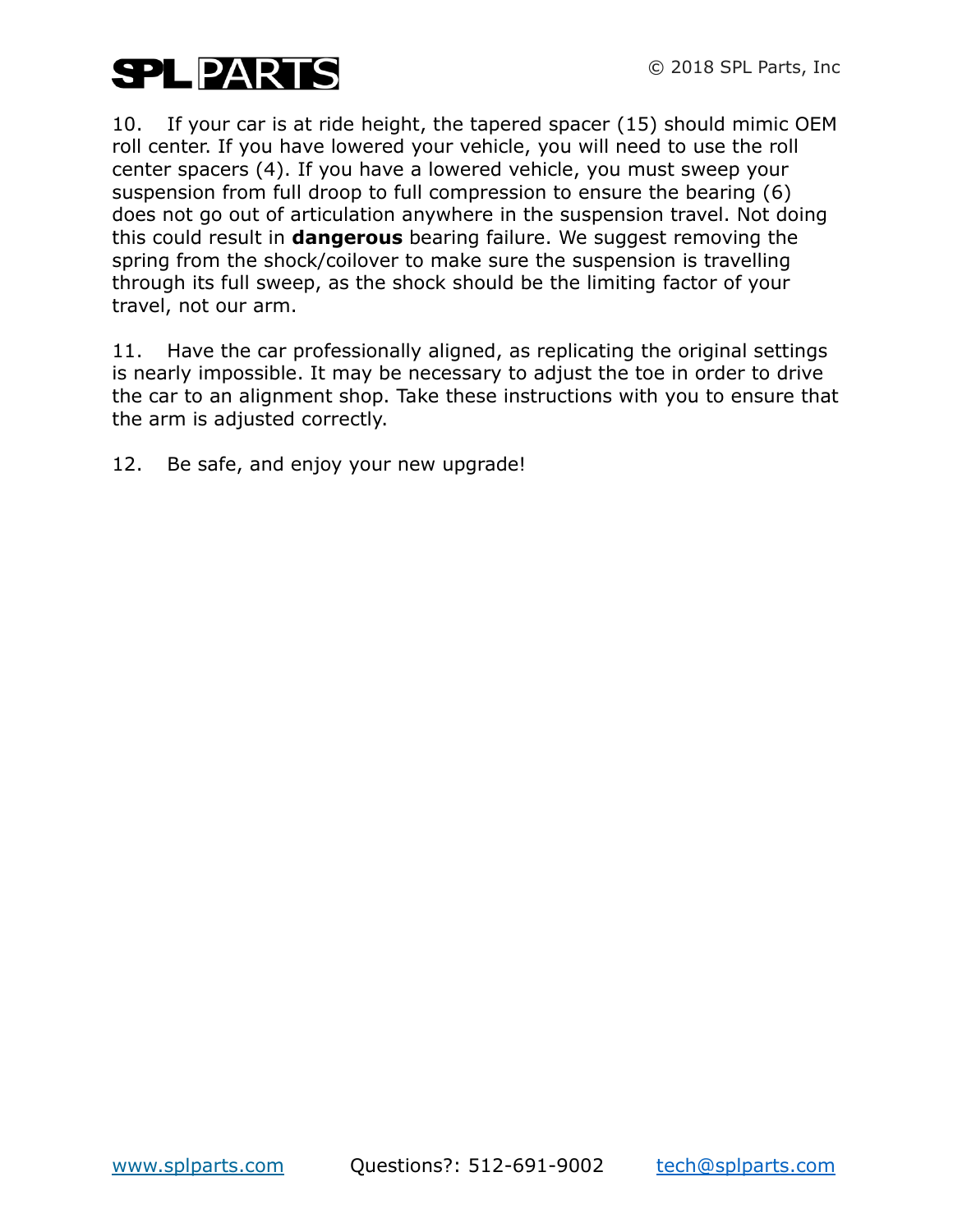

10. If your car is at ride height, the tapered spacer (15) should mimic OEM roll center. If you have lowered your vehicle, you will need to use the roll center spacers (4). If you have a lowered vehicle, you must sweep your suspension from full droop to full compression to ensure the bearing (6) does not go out of articulation anywhere in the suspension travel. Not doing this could result in **dangerous** bearing failure. We suggest removing the spring from the shock/coilover to make sure the suspension is travelling through its full sweep, as the shock should be the limiting factor of your travel, not our arm.

11. Have the car professionally aligned, as replicating the original settings is nearly impossible. It may be necessary to adjust the toe in order to drive the car to an alignment shop. Take these instructions with you to ensure that the arm is adjusted correctly.

12. Be safe, and enjoy your new upgrade!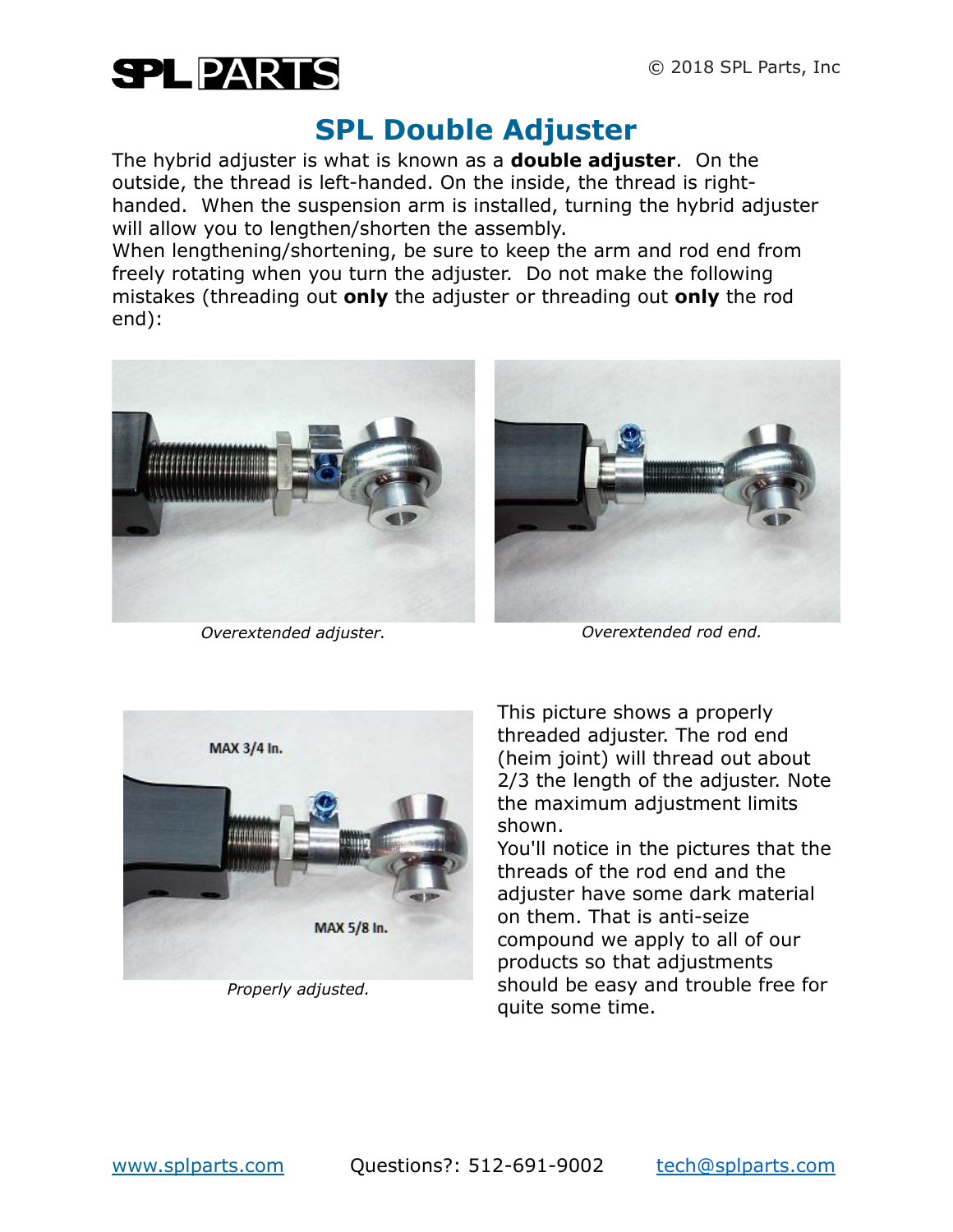

### **SPL Double Adjuster**

The hybrid adjuster is what is known as a **double adjuster**. On the outside, the thread is left-handed. On the inside, the thread is righthanded. When the suspension arm is installed, turning the hybrid adjuster will allow you to lengthen/shorten the assembly.

When lengthening/shortening, be sure to keep the arm and rod end from freely rotating when you turn the adjuster. Do not make the following mistakes (threading out **only** the adjuster or threading out **only** the rod end):



*Overextended adjuster. Overextended rod end.*





*Properly adjusted.*

This picture shows a properly threaded adjuster. The rod end (heim joint) will thread out about 2/3 the length of the adjuster. Note the maximum adjustment limits shown.

You'll notice in the pictures that the threads of the rod end and the adjuster have some dark material on them. That is anti-seize compound we apply to all of our products so that adjustments should be easy and trouble free for quite some time.